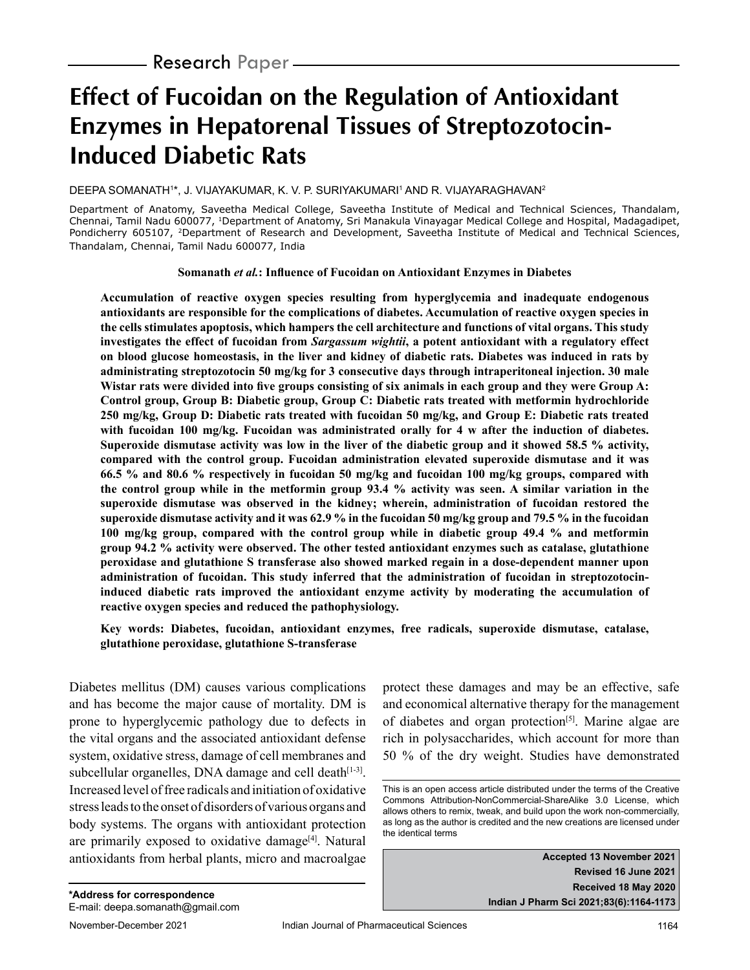# **Effect of Fucoidan on the Regulation of Antioxidant Enzymes in Hepatorenal Tissues of Streptozotocin-Induced Diabetic Rats**

#### DEEPA SOMANATH1\*, J. VIJAYAKUMAR, K. V. P. SURIYAKUMARI1 AND R. VIJAYARAGHAVAN<sup>2</sup>

Department of Anatomy, Saveetha Medical College, Saveetha Institute of Medical and Technical Sciences, Thandalam, Chennai, Tamil Nadu 600077, 1Department of Anatomy, Sri Manakula Vinayagar Medical College and Hospital, Madagadipet, Pondicherry 605107, <sup>2</sup>Department of Research and Development, Saveetha Institute of Medical and Technical Sciences, Thandalam, Chennai, Tamil Nadu 600077, India

**Somanath** *et al.***: Influence of Fucoidan on Antioxidant Enzymes in Diabetes**

**Accumulation of reactive oxygen species resulting from hyperglycemia and inadequate endogenous antioxidants are responsible for the complications of diabetes. Accumulation of reactive oxygen species in the cells stimulates apoptosis, which hampers the cell architecture and functions of vital organs. This study investigates the effect of fucoidan from** *Sargassum wightii***, a potent antioxidant with a regulatory effect on blood glucose homeostasis, in the liver and kidney of diabetic rats. Diabetes was induced in rats by administrating streptozotocin 50 mg/kg for 3 consecutive days through intraperitoneal injection. 30 male Wistar rats were divided into five groups consisting of six animals in each group and they were Group A: Control group, Group B: Diabetic group, Group C: Diabetic rats treated with metformin hydrochloride 250 mg/kg, Group D: Diabetic rats treated with fucoidan 50 mg/kg, and Group E: Diabetic rats treated with fucoidan 100 mg/kg. Fucoidan was administrated orally for 4 w after the induction of diabetes. Superoxide dismutase activity was low in the liver of the diabetic group and it showed 58.5 % activity, compared with the control group. Fucoidan administration elevated superoxide dismutase and it was 66.5 % and 80.6 % respectively in fucoidan 50 mg/kg and fucoidan 100 mg/kg groups, compared with the control group while in the metformin group 93.4 % activity was seen. A similar variation in the superoxide dismutase was observed in the kidney; wherein, administration of fucoidan restored the superoxide dismutase activity and it was 62.9 % in the fucoidan 50 mg/kg group and 79.5 % in the fucoidan 100 mg/kg group, compared with the control group while in diabetic group 49.4 % and metformin group 94.2 % activity were observed. The other tested antioxidant enzymes such as catalase, glutathione peroxidase and glutathione S transferase also showed marked regain in a dose-dependent manner upon administration of fucoidan. This study inferred that the administration of fucoidan in streptozotocininduced diabetic rats improved the antioxidant enzyme activity by moderating the accumulation of reactive oxygen species and reduced the pathophysiology.**

**Key words: Diabetes, fucoidan, antioxidant enzymes, free radicals, superoxide dismutase, catalase, glutathione peroxidase, glutathione S-transferase**

Diabetes mellitus (DM) causes various complications and has become the major cause of mortality. DM is prone to hyperglycemic pathology due to defects in the vital organs and the associated antioxidant defense system, oxidative stress, damage of cell membranes and subcellular organelles, DNA damage and cell death $[1-3]$ . Increased level of free radicals and initiation of oxidative stress leads to the onset of disorders of various organs and body systems. The organs with antioxidant protection are primarily exposed to oxidative damage<sup>[4]</sup>. Natural antioxidants from herbal plants, micro and macroalgae protect these damages and may be an effective, safe and economical alternative therapy for the management of diabetes and organ protection<sup>[5]</sup>. Marine algae are rich in polysaccharides, which account for more than 50 % of the dry weight. Studies have demonstrated

**Accepted 13 November 2021 Revised 16 June 2021 Received 18 May 2020 Indian J Pharm Sci 2021;83(6):1164-1173**

This is an open access article distributed under the terms of the Creative Commons Attribution-NonCommercial-ShareAlike 3.0 License, which allows others to remix, tweak, and build upon the work non-commercially, as long as the author is credited and the new creations are licensed under the identical terms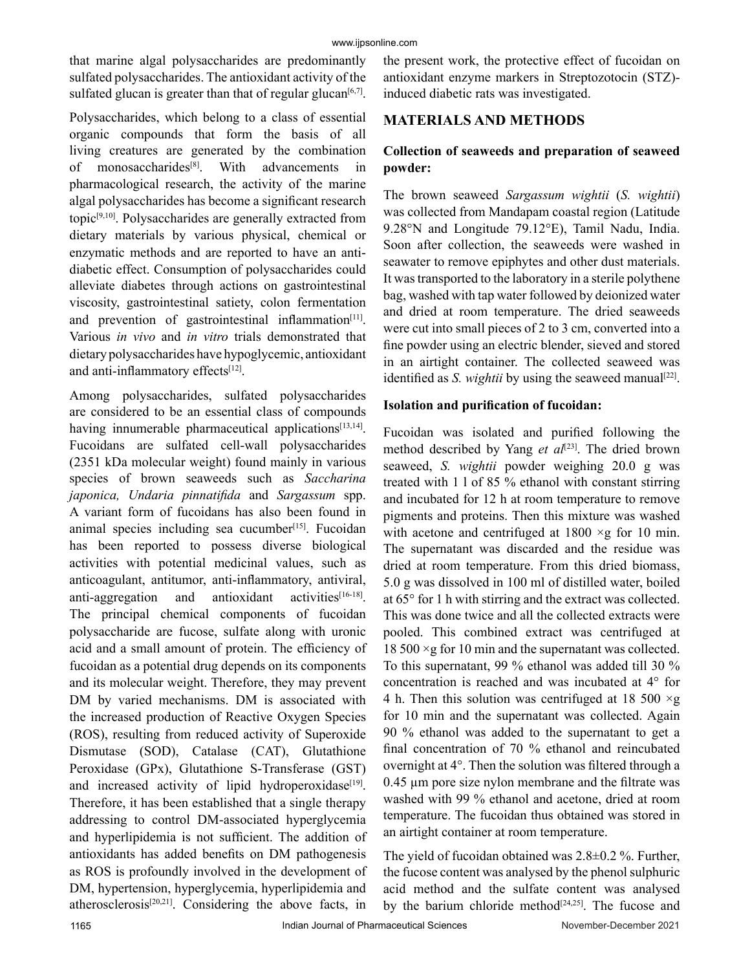that marine algal polysaccharides are predominantly sulfated polysaccharides. The antioxidant activity of the sulfated glucan is greater than that of regular glucan $[6,7]$ .

Polysaccharides, which belong to a class of essential organic compounds that form the basis of all living creatures are generated by the combination of monosaccharides<sup>[8]</sup>. With advancements in pharmacological research, the activity of the marine algal polysaccharides has become a significant research topic[9,10]. Polysaccharides are generally extracted from dietary materials by various physical, chemical or enzymatic methods and are reported to have an antidiabetic effect. Consumption of polysaccharides could alleviate diabetes through actions on gastrointestinal viscosity, gastrointestinal satiety, colon fermentation and prevention of gastrointestinal inflammation[11]. Various *in vivo* and *in vitro* trials demonstrated that dietary polysaccharides have hypoglycemic, antioxidant and anti-inflammatory effects<sup>[12]</sup>.

Among polysaccharides, sulfated polysaccharides are considered to be an essential class of compounds having innumerable pharmaceutical applications $[13,14]$ . Fucoidans are sulfated cell-wall polysaccharides (2351 kDa molecular weight) found mainly in various species of brown seaweeds such as *Saccharina japonica, Undaria pinnatifida* and *Sargassum* spp. A variant form of fucoidans has also been found in animal species including sea cucumber<sup>[15]</sup>. Fucoidan has been reported to possess diverse biological activities with potential medicinal values, such as anticoagulant, antitumor, anti-inflammatory, antiviral, anti-aggregation and antioxidant activities $[16-18]$ . The principal chemical components of fucoidan polysaccharide are fucose, sulfate along with uronic acid and a small amount of protein. The efficiency of fucoidan as a potential drug depends on its components and its molecular weight. Therefore, they may prevent DM by varied mechanisms. DM is associated with the increased production of Reactive Oxygen Species (ROS), resulting from reduced activity of Superoxide Dismutase (SOD), Catalase (CAT), Glutathione Peroxidase (GPx), Glutathione S-Transferase (GST) and increased activity of lipid hydroperoxidase<sup>[19]</sup>. Therefore, it has been established that a single therapy addressing to control DM-associated hyperglycemia and hyperlipidemia is not sufficient. The addition of antioxidants has added benefits on DM pathogenesis as ROS is profoundly involved in the development of DM, hypertension, hyperglycemia, hyperlipidemia and atherosclerosis[20,21]. Considering the above facts, in the present work, the protective effect of fucoidan on antioxidant enzyme markers in Streptozotocin (STZ) induced diabetic rats was investigated.

## **MATERIALS AND METHODS**

# **Collection of seaweeds and preparation of seaweed powder:**

The brown seaweed *Sargassum wightii* (*S. wightii*) was collected from Mandapam coastal region (Latitude 9.28°N and Longitude 79.12°E), Tamil Nadu, India. Soon after collection, the seaweeds were washed in seawater to remove epiphytes and other dust materials. It was transported to the laboratory in a sterile polythene bag, washed with tap water followed by deionized water and dried at room temperature. The dried seaweeds were cut into small pieces of 2 to 3 cm, converted into a fine powder using an electric blender, sieved and stored in an airtight container. The collected seaweed was identified as *S. wightii* by using the seaweed manual<sup>[22]</sup>.

#### **Isolation and purification of fucoidan:**

Fucoidan was isolated and purified following the method described by Yang *et al*<sup>[23]</sup>. The dried brown seaweed, *S. wightii* powder weighing 20.0 g was treated with 1 l of 85 % ethanol with constant stirring and incubated for 12 h at room temperature to remove pigments and proteins. Then this mixture was washed with acetone and centrifuged at  $1800 \times g$  for 10 min. The supernatant was discarded and the residue was dried at room temperature. From this dried biomass, 5.0 g was dissolved in 100 ml of distilled water, boiled at 65° for 1 h with stirring and the extract was collected. This was done twice and all the collected extracts were pooled. This combined extract was centrifuged at 18 500  $\times$ g for 10 min and the supernatant was collected. To this supernatant, 99 % ethanol was added till 30 % concentration is reached and was incubated at 4° for 4 h. Then this solution was centrifuged at 18 500  $\times$ g for 10 min and the supernatant was collected. Again 90 % ethanol was added to the supernatant to get a final concentration of 70 % ethanol and reincubated overnight at 4°. Then the solution was filtered through a 0.45 µm pore size nylon membrane and the filtrate was washed with 99 % ethanol and acetone, dried at room temperature. The fucoidan thus obtained was stored in an airtight container at room temperature.

The yield of fucoidan obtained was 2.8±0.2 %. Further, the fucose content was analysed by the phenol sulphuric acid method and the sulfate content was analysed by the barium chloride method<sup>[24,25]</sup>. The fucose and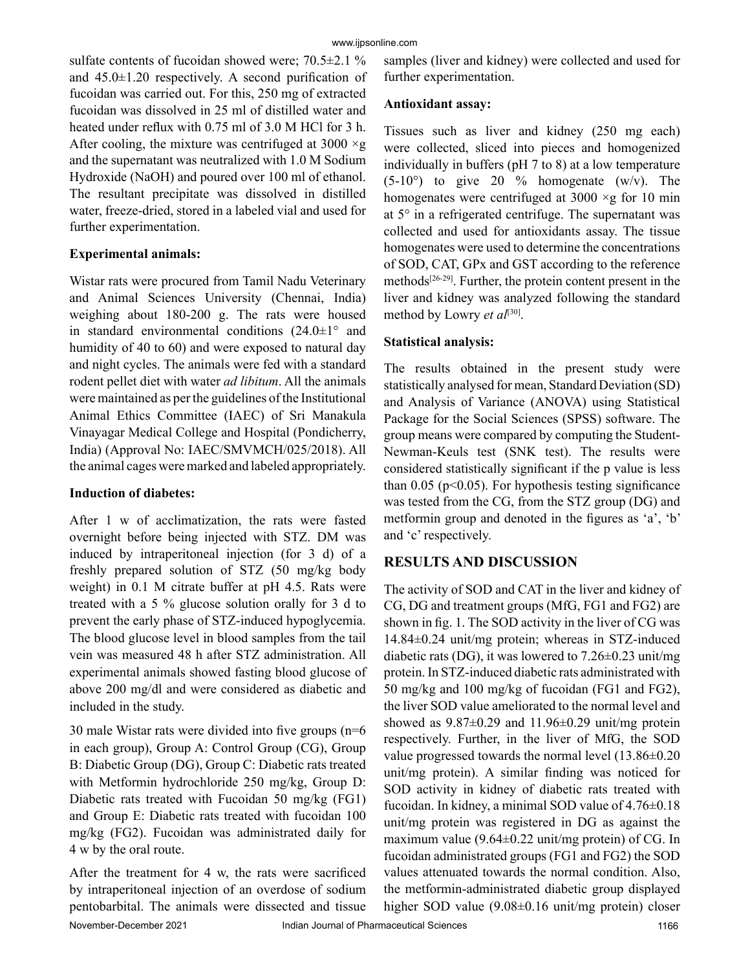sulfate contents of fucoidan showed were; 70.5±2.1 % and  $45.0\pm1.20$  respectively. A second purification of fucoidan was carried out. For this, 250 mg of extracted fucoidan was dissolved in 25 ml of distilled water and heated under reflux with 0.75 ml of 3.0 M HCl for 3 h. After cooling, the mixture was centrifuged at 3000  $\times$ g and the supernatant was neutralized with 1.0 M Sodium Hydroxide (NaOH) and poured over 100 ml of ethanol. The resultant precipitate was dissolved in distilled water, freeze-dried, stored in a labeled vial and used for further experimentation.

#### **Experimental animals:**

Wistar rats were procured from Tamil Nadu Veterinary and Animal Sciences University (Chennai, India) weighing about 180-200 g. The rats were housed in standard environmental conditions  $(24.0\pm1)$ <sup>o</sup> and humidity of 40 to 60) and were exposed to natural day and night cycles. The animals were fed with a standard rodent pellet diet with water *ad libitum*. All the animals were maintained as per the guidelines of the Institutional Animal Ethics Committee (IAEC) of Sri Manakula Vinayagar Medical College and Hospital (Pondicherry, India) (Approval No: IAEC/SMVMCH/025/2018). All the animal cages were marked and labeled appropriately.

#### **Induction of diabetes:**

After 1 w of acclimatization, the rats were fasted overnight before being injected with STZ. DM was induced by intraperitoneal injection (for 3 d) of a freshly prepared solution of STZ (50 mg/kg body weight) in 0.1 M citrate buffer at pH 4.5. Rats were treated with a 5 % glucose solution orally for 3 d to prevent the early phase of STZ-induced hypoglycemia. The blood glucose level in blood samples from the tail vein was measured 48 h after STZ administration. All experimental animals showed fasting blood glucose of above 200 mg/dl and were considered as diabetic and included in the study.

30 male Wistar rats were divided into five groups (n=6 in each group), Group A: Control Group (CG), Group B: Diabetic Group (DG), Group C: Diabetic rats treated with Metformin hydrochloride 250 mg/kg, Group D: Diabetic rats treated with Fucoidan 50 mg/kg (FG1) and Group E: Diabetic rats treated with fucoidan 100 mg/kg (FG2). Fucoidan was administrated daily for 4 w by the oral route.

After the treatment for 4 w, the rats were sacrificed by intraperitoneal injection of an overdose of sodium pentobarbital. The animals were dissected and tissue samples (liver and kidney) were collected and used for further experimentation.

#### **Antioxidant assay:**

Tissues such as liver and kidney (250 mg each) were collected, sliced into pieces and homogenized individually in buffers (pH 7 to 8) at a low temperature  $(5-10^{\circ})$  to give 20 % homogenate  $(w/v)$ . The homogenates were centrifuged at  $3000 \times g$  for 10 min at 5° in a refrigerated centrifuge. The supernatant was collected and used for antioxidants assay. The tissue homogenates were used to determine the concentrations of SOD, CAT, GPx and GST according to the reference methods $[26-29]$ . Further, the protein content present in the liver and kidney was analyzed following the standard method by Lowry *et al*[30].

### **Statistical analysis:**

The results obtained in the present study were statistically analysed for mean, Standard Deviation (SD) and Analysis of Variance (ANOVA) using Statistical Package for the Social Sciences (SPSS) software. The group means were compared by computing the Student-Newman-Keuls test (SNK test). The results were considered statistically significant if the p value is less than  $0.05$  (p<0.05). For hypothesis testing significance was tested from the CG, from the STZ group (DG) and metformin group and denoted in the figures as 'a', 'b' and 'c' respectively.

# **RESULTS AND DISCUSSION**

The activity of SOD and CAT in the liver and kidney of CG, DG and treatment groups (MfG, FG1 and FG2) are shown in fig. 1. The SOD activity in the liver of CG was 14.84±0.24 unit/mg protein; whereas in STZ-induced diabetic rats (DG), it was lowered to 7.26±0.23 unit/mg protein. In STZ-induced diabetic rats administrated with 50 mg/kg and 100 mg/kg of fucoidan (FG1 and FG2), the liver SOD value ameliorated to the normal level and showed as  $9.87\pm0.29$  and  $11.96\pm0.29$  unit/mg protein respectively. Further, in the liver of MfG, the SOD value progressed towards the normal level (13.86±0.20 unit/mg protein). A similar finding was noticed for SOD activity in kidney of diabetic rats treated with fucoidan. In kidney, a minimal SOD value of 4.76±0.18 unit/mg protein was registered in DG as against the maximum value (9.64±0.22 unit/mg protein) of CG. In fucoidan administrated groups (FG1 and FG2) the SOD values attenuated towards the normal condition. Also, the metformin-administrated diabetic group displayed higher SOD value (9.08±0.16 unit/mg protein) closer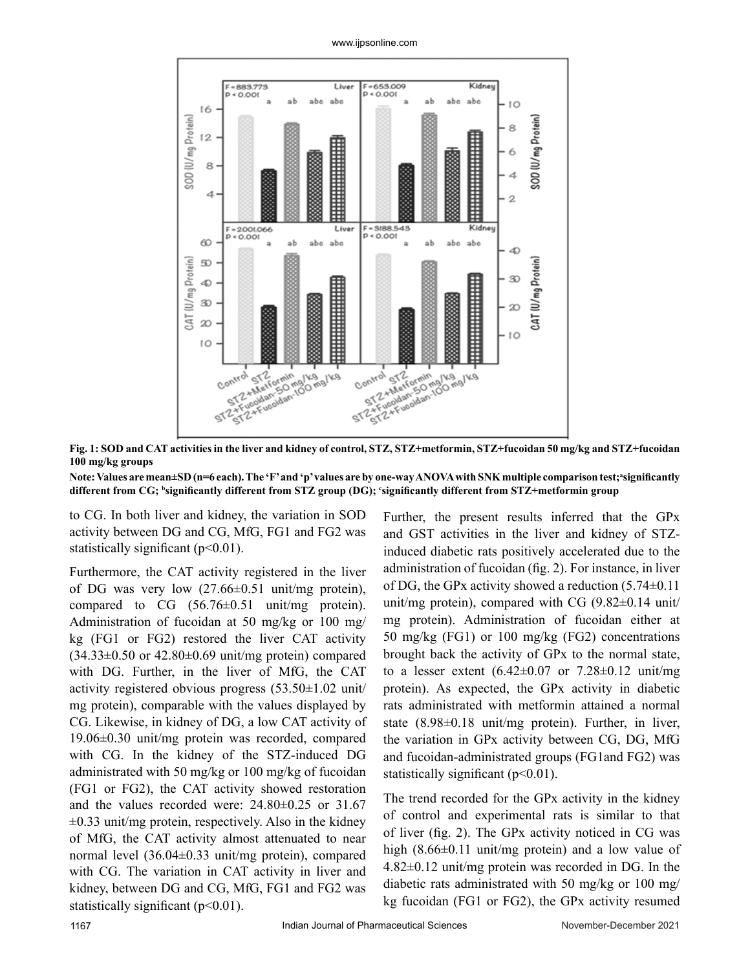#### www.ijpsonline.com



**Fig. 1: SOD and CAT activities in the liver and kidney of control, STZ, STZ+metformin, STZ+fucoidan 50 mg/kg and STZ+fucoidan 100 mg/kg groups** 

#### **Note: Values are mean±SD (n=6 each). The 'F' and 'p' values are by one-way ANOVA with SNK multiple comparison test;<sup>a</sup> significantly**  different from CG; <sup>b</sup>significantly different from STZ group (DG); 'significantly different from STZ+metformin group

to CG. In both liver and kidney, the variation in SOD activity between DG and CG, MfG, FG1 and FG2 was statistically significant (p<0.01).

Furthermore, the CAT activity registered in the liver of DG was very low (27.66±0.51 unit/mg protein), compared to CG (56.76±0.51 unit/mg protein). Administration of fucoidan at 50 mg/kg or 100 mg/ kg (FG1 or FG2) restored the liver CAT activity  $(34.33\pm0.50 \text{ or } 42.80\pm0.69 \text{ unit/mg protein})$  compared with DG. Further, in the liver of MfG, the CAT activity registered obvious progress (53.50±1.02 unit/ mg protein), comparable with the values displayed by CG. Likewise, in kidney of DG, a low CAT activity of 19.06±0.30 unit/mg protein was recorded, compared with CG. In the kidney of the STZ-induced DG administrated with 50 mg/kg or 100 mg/kg of fucoidan (FG1 or FG2), the CAT activity showed restoration and the values recorded were: 24.80±0.25 or 31.67  $\pm 0.33$  unit/mg protein, respectively. Also in the kidney of MfG, the CAT activity almost attenuated to near normal level (36.04±0.33 unit/mg protein), compared with CG. The variation in CAT activity in liver and kidney, between DG and CG, MfG, FG1 and FG2 was statistically significant (p<0.01).

Further, the present results inferred that the GPx and GST activities in the liver and kidney of STZinduced diabetic rats positively accelerated due to the administration of fucoidan (fig. 2). For instance, in liver of DG, the GPx activity showed a reduction (5.74±0.11 unit/mg protein), compared with CG (9.82±0.14 unit/ mg protein). Administration of fucoidan either at 50 mg/kg (FG1) or 100 mg/kg (FG2) concentrations brought back the activity of GPx to the normal state, to a lesser extent  $(6.42 \pm 0.07)$  or  $7.28 \pm 0.12$  unit/mg protein). As expected, the GPx activity in diabetic rats administrated with metformin attained a normal state (8.98±0.18 unit/mg protein). Further, in liver, the variation in GPx activity between CG, DG, MfG and fucoidan-administrated groups (FG1and FG2) was statistically significant  $(p<0.01)$ .

The trend recorded for the GPx activity in the kidney of control and experimental rats is similar to that of liver (fig. 2). The GPx activity noticed in CG was high (8.66±0.11 unit/mg protein) and a low value of 4.82±0.12 unit/mg protein was recorded in DG. In the diabetic rats administrated with 50 mg/kg or 100 mg/ kg fucoidan (FG1 or FG2), the GPx activity resumed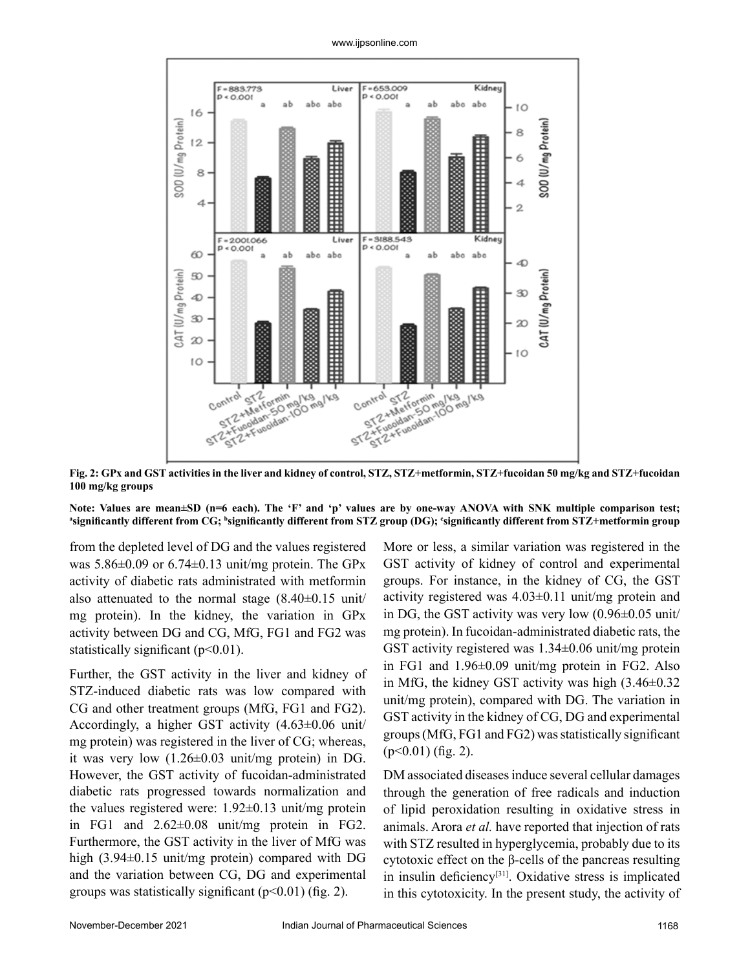

**Fig. 2: GPx and GST activities in the liver and kidney of control, STZ, STZ+metformin, STZ+fucoidan 50 mg/kg and STZ+fucoidan 100 mg/kg groups** 

**Note: Values are mean±SD (n=6 each). The 'F' and 'p' values are by one-way ANOVA with SNK multiple comparison test; a significantly different from CG; b significantly different from STZ group (DG); c significantly different from STZ+metformin group**

from the depleted level of DG and the values registered was  $5.86\pm0.09$  or  $6.74\pm0.13$  unit/mg protein. The GPx activity of diabetic rats administrated with metformin also attenuated to the normal stage  $(8.40\pm0.15 \text{ unit})$ mg protein). In the kidney, the variation in GPx activity between DG and CG, MfG, FG1 and FG2 was statistically significant (p˂0.01).

Further, the GST activity in the liver and kidney of STZ-induced diabetic rats was low compared with CG and other treatment groups (MfG, FG1 and FG2). Accordingly, a higher GST activity (4.63±0.06 unit/ mg protein) was registered in the liver of CG; whereas, it was very low (1.26±0.03 unit/mg protein) in DG. However, the GST activity of fucoidan-administrated diabetic rats progressed towards normalization and the values registered were: 1.92±0.13 unit/mg protein in FG1 and 2.62±0.08 unit/mg protein in FG2. Furthermore, the GST activity in the liver of MfG was high (3.94±0.15 unit/mg protein) compared with DG and the variation between CG, DG and experimental groups was statistically significant  $(p<0.01)$  (fig. 2).

More or less, a similar variation was registered in the GST activity of kidney of control and experimental groups. For instance, in the kidney of CG, the GST activity registered was  $4.03\pm0.11$  unit/mg protein and in DG, the GST activity was very low (0.96±0.05 unit/ mg protein). In fucoidan-administrated diabetic rats, the GST activity registered was 1.34±0.06 unit/mg protein in FG1 and 1.96±0.09 unit/mg protein in FG2. Also in MfG, the kidney GST activity was high (3.46±0.32 unit/mg protein), compared with DG. The variation in GST activity in the kidney of CG, DG and experimental groups (MfG, FG1 and FG2) was statistically significant  $(p<0.01)$  (fig. 2).

DM associated diseases induce several cellular damages through the generation of free radicals and induction of lipid peroxidation resulting in oxidative stress in animals. Arora *et al.* have reported that injection of rats with STZ resulted in hyperglycemia, probably due to its cytotoxic effect on the β-cells of the pancreas resulting in insulin deficiency[31]. Oxidative stress is implicated in this cytotoxicity. In the present study, the activity of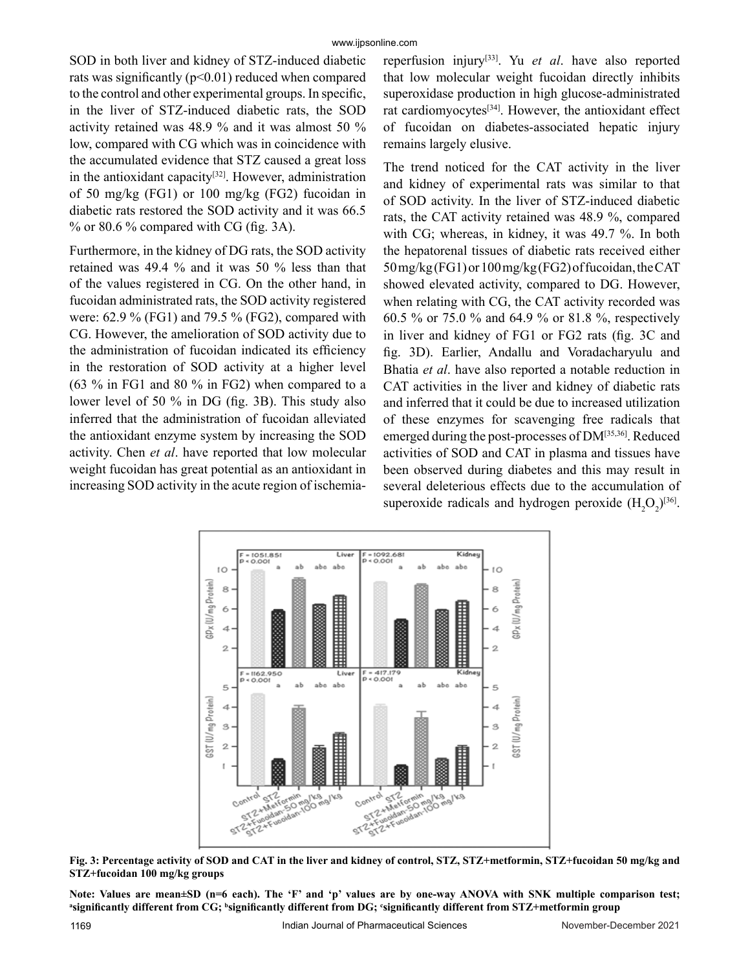SOD in both liver and kidney of STZ-induced diabetic rats was significantly (p˂0.01) reduced when compared to the control and other experimental groups. In specific, in the liver of STZ-induced diabetic rats, the SOD activity retained was 48.9 % and it was almost 50 % low, compared with CG which was in coincidence with the accumulated evidence that STZ caused a great loss in the antioxidant capacity $[32]$ . However, administration of 50 mg/kg (FG1) or 100 mg/kg (FG2) fucoidan in diabetic rats restored the SOD activity and it was 66.5  $%$  or 80.6 % compared with CG (fig. 3A).

Furthermore, in the kidney of DG rats, the SOD activity retained was 49.4 % and it was 50 % less than that of the values registered in CG. On the other hand, in fucoidan administrated rats, the SOD activity registered were: 62.9 % (FG1) and 79.5 % (FG2), compared with CG. However, the amelioration of SOD activity due to the administration of fucoidan indicated its efficiency in the restoration of SOD activity at a higher level (63 % in FG1 and 80 % in FG2) when compared to a lower level of 50 % in DG (fig. 3B). This study also inferred that the administration of fucoidan alleviated the antioxidant enzyme system by increasing the SOD activity. Chen *et al*. have reported that low molecular weight fucoidan has great potential as an antioxidant in increasing SOD activity in the acute region of ischemiareperfusion injury[33]. Yu *et al*. have also reported that low molecular weight fucoidan directly inhibits superoxidase production in high glucose-administrated rat cardiomyocytes<sup>[34]</sup>. However, the antioxidant effect of fucoidan on diabetes-associated hepatic injury remains largely elusive.

The trend noticed for the CAT activity in the liver and kidney of experimental rats was similar to that of SOD activity. In the liver of STZ-induced diabetic rats, the CAT activity retained was 48.9 %, compared with CG; whereas, in kidney, it was 49.7 %. In both the hepatorenal tissues of diabetic rats received either 50 mg/kg (FG1) or 100 mg/kg (FG2) of fucoidan, the CAT showed elevated activity, compared to DG. However, when relating with CG, the CAT activity recorded was 60.5 % or 75.0 % and 64.9 % or 81.8 %, respectively in liver and kidney of FG1 or FG2 rats (fig. 3C and fig. 3D). Earlier, Andallu and Voradacharyulu and Bhatia *et al*. have also reported a notable reduction in CAT activities in the liver and kidney of diabetic rats and inferred that it could be due to increased utilization of these enzymes for scavenging free radicals that emerged during the post-processes of DM[35,36]. Reduced activities of SOD and CAT in plasma and tissues have been observed during diabetes and this may result in several deleterious effects due to the accumulation of superoxide radicals and hydrogen peroxide  $(H_2O_2)^{[36]}$ .



**Fig. 3: Percentage activity of SOD and CAT in the liver and kidney of control, STZ, STZ+metformin, STZ+fucoidan 50 mg/kg and STZ+fucoidan 100 mg/kg groups**

**Note: Values are mean±SD (n=6 each). The 'F' and 'p' values are by one-way ANOVA with SNK multiple comparison test; a significantly different from CG; b significantly different from DG; c significantly different from STZ+metformin group**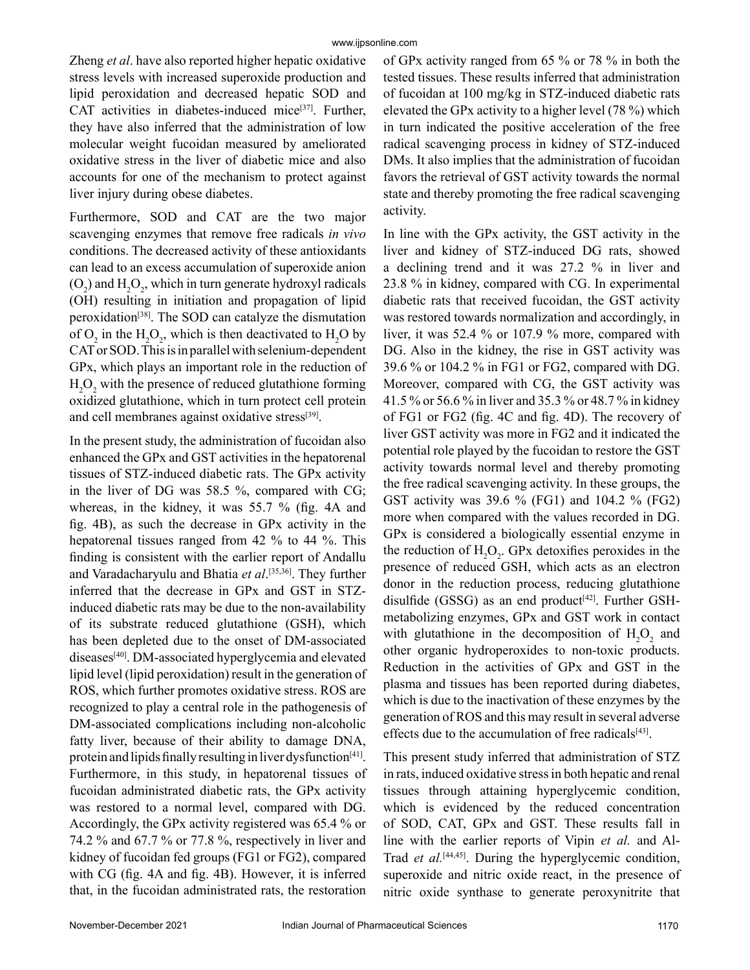Zheng *et al*. have also reported higher hepatic oxidative stress levels with increased superoxide production and lipid peroxidation and decreased hepatic SOD and CAT activities in diabetes-induced mice $[37]$ . Further, they have also inferred that the administration of low molecular weight fucoidan measured by ameliorated oxidative stress in the liver of diabetic mice and also accounts for one of the mechanism to protect against liver injury during obese diabetes.

Furthermore, SOD and CAT are the two major scavenging enzymes that remove free radicals *in vivo* conditions. The decreased activity of these antioxidants can lead to an excess accumulation of superoxide anion  $(O_2)$  and  $H_2O_2$ , which in turn generate hydroxyl radicals (OH) resulting in initiation and propagation of lipid peroxidation[38]. The SOD can catalyze the dismutation of  $O_2$  in the  $H_2O_2$ , which is then deactivated to  $H_2O$  by CAT or SOD. This is in parallel with selenium-dependent GPx, which plays an important role in the reduction of  $H_2O_2$  with the presence of reduced glutathione forming oxidized glutathione, which in turn protect cell protein and cell membranes against oxidative stress<sup>[39]</sup>.

In the present study, the administration of fucoidan also enhanced the GPx and GST activities in the hepatorenal tissues of STZ-induced diabetic rats. The GPx activity in the liver of DG was 58.5 %, compared with CG; whereas, in the kidney, it was 55.7 % (fig. 4A and fig. 4B), as such the decrease in GPx activity in the hepatorenal tissues ranged from 42 % to 44 %. This finding is consistent with the earlier report of Andallu and Varadacharyulu and Bhatia *et al*. [35,36]. They further inferred that the decrease in GPx and GST in STZinduced diabetic rats may be due to the non-availability of its substrate reduced glutathione (GSH), which has been depleted due to the onset of DM-associated diseases<sup>[40]</sup>. DM-associated hyperglycemia and elevated lipid level (lipid peroxidation) result in the generation of ROS, which further promotes oxidative stress. ROS are recognized to play a central role in the pathogenesis of DM-associated complications including non-alcoholic fatty liver, because of their ability to damage DNA, protein and lipids finally resulting in liver dysfunction<sup>[41]</sup>. Furthermore, in this study, in hepatorenal tissues of fucoidan administrated diabetic rats, the GPx activity was restored to a normal level, compared with DG. Accordingly, the GPx activity registered was 65.4 % or 74.2 % and 67.7 % or 77.8 %, respectively in liver and kidney of fucoidan fed groups (FG1 or FG2), compared with CG (fig. 4A and fig. 4B). However, it is inferred that, in the fucoidan administrated rats, the restoration

of GPx activity ranged from 65 % or 78 % in both the tested tissues. These results inferred that administration of fucoidan at 100 mg/kg in STZ-induced diabetic rats elevated the GPx activity to a higher level (78 %) which in turn indicated the positive acceleration of the free radical scavenging process in kidney of STZ-induced DMs. It also implies that the administration of fucoidan favors the retrieval of GST activity towards the normal state and thereby promoting the free radical scavenging activity.

In line with the GPx activity, the GST activity in the liver and kidney of STZ-induced DG rats, showed a declining trend and it was 27.2 % in liver and 23.8 % in kidney, compared with CG. In experimental diabetic rats that received fucoidan, the GST activity was restored towards normalization and accordingly, in liver, it was 52.4 % or 107.9 % more, compared with DG. Also in the kidney, the rise in GST activity was 39.6 % or 104.2 % in FG1 or FG2, compared with DG. Moreover, compared with CG, the GST activity was 41.5 % or 56.6 % in liver and 35.3 % or 48.7 % in kidney of FG1 or FG2 (fig. 4C and fig. 4D). The recovery of liver GST activity was more in FG2 and it indicated the potential role played by the fucoidan to restore the GST activity towards normal level and thereby promoting the free radical scavenging activity. In these groups, the GST activity was 39.6 % (FG1) and 104.2 % (FG2) more when compared with the values recorded in DG. GPx is considered a biologically essential enzyme in the reduction of  $H_2O_2$ . GPx detoxifies peroxides in the presence of reduced GSH, which acts as an electron donor in the reduction process, reducing glutathione disulfide (GSSG) as an end product<sup>[42]</sup>. Further GSHmetabolizing enzymes, GPx and GST work in contact with glutathione in the decomposition of  $H_2O_2$  and other organic hydroperoxides to non-toxic products. Reduction in the activities of GPx and GST in the plasma and tissues has been reported during diabetes, which is due to the inactivation of these enzymes by the generation of ROS and this may result in several adverse effects due to the accumulation of free radicals $[43]$ .

This present study inferred that administration of STZ in rats, induced oxidative stress in both hepatic and renal tissues through attaining hyperglycemic condition, which is evidenced by the reduced concentration of SOD, CAT, GPx and GST. These results fall in line with the earlier reports of Vipin *et al.* and Al-Trad *et al.*[44,45]. During the hyperglycemic condition, superoxide and nitric oxide react, in the presence of nitric oxide synthase to generate peroxynitrite that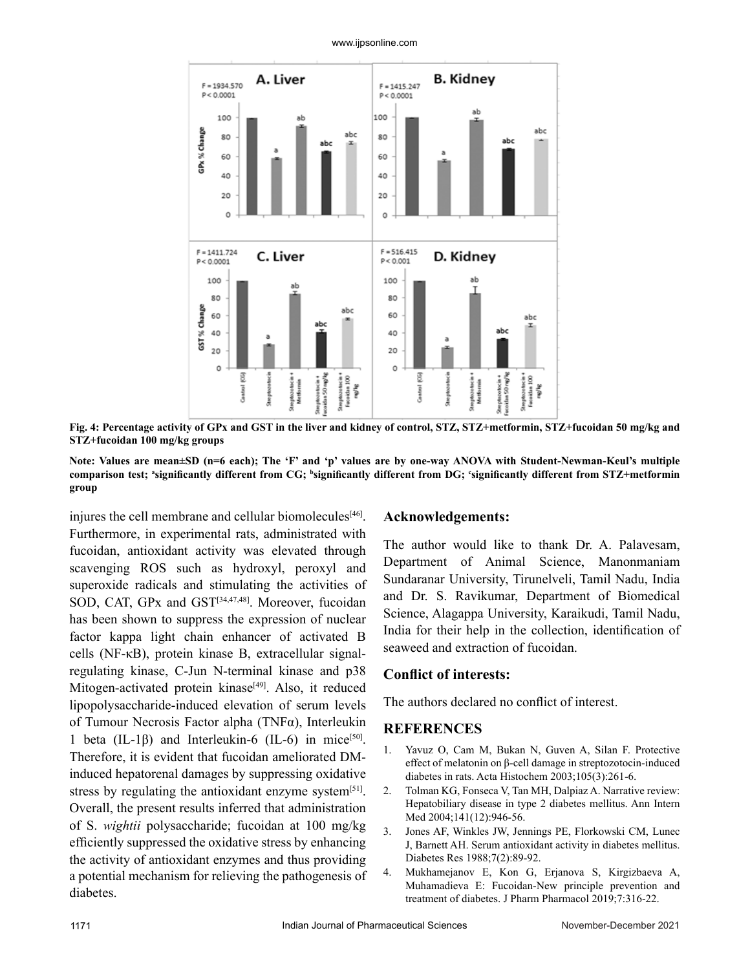



**Fig. 4: Percentage activity of GPx and GST in the liver and kidney of control, STZ, STZ+metformin, STZ+fucoidan 50 mg/kg and STZ+fucoidan 100 mg/kg groups**

**Note: Values are mean±SD (n=6 each); The 'F' and 'p' values are by one-way ANOVA with Student-Newman-Keul's multiple**  comparison test; \*significantly different from CG; <sup>b</sup>significantly different from DG; <sup>c</sup>significantly different from STZ+metformin **group**

injures the cell membrane and cellular biomolecules<sup>[46]</sup>. Furthermore, in experimental rats, administrated with fucoidan, antioxidant activity was elevated through scavenging ROS such as hydroxyl, peroxyl and superoxide radicals and stimulating the activities of SOD, CAT, GPx and GST<sup>[34,47,48]</sup>. Moreover, fucoidan has been shown to suppress the expression of nuclear factor kappa light chain enhancer of activated B cells (NF-κB), protein kinase B, extracellular signalregulating kinase, C-Jun N-terminal kinase and p38 Mitogen-activated protein kinase<sup>[49]</sup>. Also, it reduced lipopolysaccharide-induced elevation of serum levels of Tumour Necrosis Factor alpha (TNFα), Interleukin 1 beta (IL-1 $\beta$ ) and Interleukin-6 (IL-6) in mice<sup>[50]</sup>. Therefore, it is evident that fucoidan ameliorated DMinduced hepatorenal damages by suppressing oxidative stress by regulating the antioxidant enzyme system<sup>[51]</sup>. Overall, the present results inferred that administration of S. *wightii* polysaccharide; fucoidan at 100 mg/kg efficiently suppressed the oxidative stress by enhancing the activity of antioxidant enzymes and thus providing a potential mechanism for relieving the pathogenesis of diabetes.

#### **Acknowledgements:**

The author would like to thank Dr. A. Palavesam, Department of Animal Science, Manonmaniam Sundaranar University, Tirunelveli, Tamil Nadu, India and Dr. S. Ravikumar, Department of Biomedical Science, Alagappa University, Karaikudi, Tamil Nadu, India for their help in the collection, identification of seaweed and extraction of fucoidan.

#### **Conflict of interests:**

The authors declared no conflict of interest.

#### **REFERENCES**

- 1. Yavuz O, Cam M, Bukan N, Guven A, Silan F. Protective effect of melatonin on β-cell damage in streptozotocin-induced diabetes in rats. Acta Histochem 2003;105(3):261-6.
- 2. Tolman KG, Fonseca V, Tan MH, Dalpiaz A. Narrative review: Hepatobiliary disease in type 2 diabetes mellitus. Ann Intern Med 2004;141(12):946-56.
- 3. Jones AF, Winkles JW, Jennings PE, Florkowski CM, Lunec J, Barnett AH. Serum antioxidant activity in diabetes mellitus. Diabetes Res 1988;7(2):89-92.
- 4. Mukhamejanov E, Kon G, Erjanova S, Kirgizbaeva A, Muhamadieva E: Fucoidan-New principle prevention and treatment of diabetes. J Pharm Pharmacol 2019;7:316-22.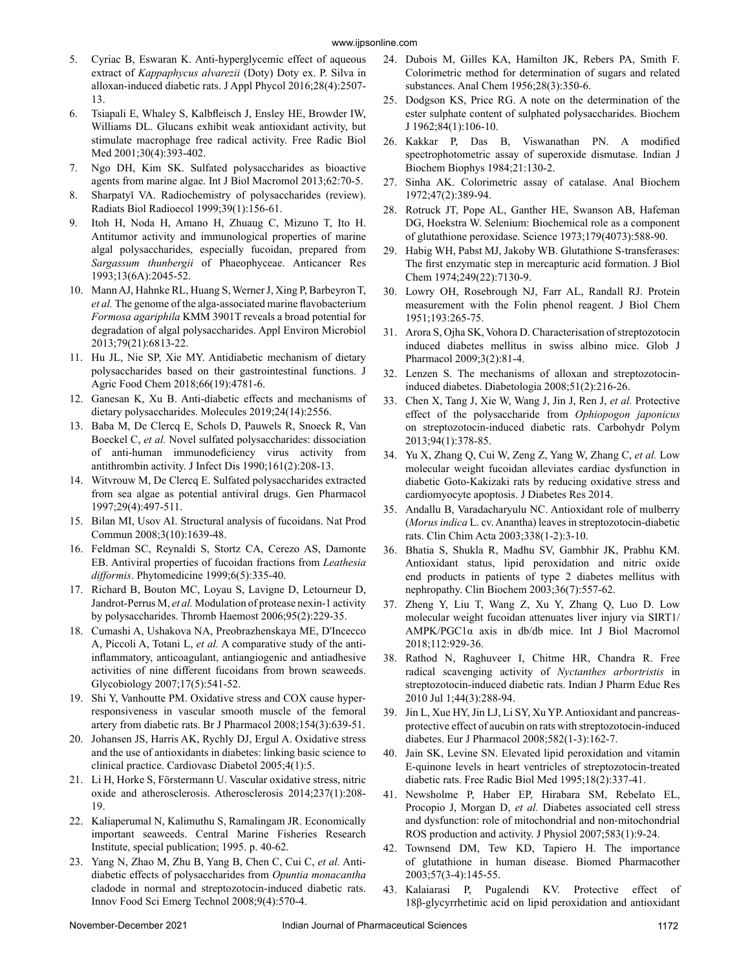- 5. Cyriac B, Eswaran K. Anti-hyperglycemic effect of aqueous extract of *Kappaphycus alvarezii* (Doty) Doty ex. P. Silva in alloxan-induced diabetic rats. J Appl Phycol 2016;28(4):2507- 13.
- 6. Tsiapali E, Whaley S, Kalbfleisch J, Ensley HE, Browder IW, Williams DL. Glucans exhibit weak antioxidant activity, but stimulate macrophage free radical activity. Free Radic Biol Med 2001;30(4):393-402.
- 7. Ngo DH, Kim SK. Sulfated polysaccharides as bioactive agents from marine algae. Int J Biol Macromol 2013;62:70-5.
- 8. Sharpatyĭ VA. Radiochemistry of polysaccharides (review). Radiats Biol Radioecol 1999;39(1):156-61.
- 9. Itoh H, Noda H, Amano H, Zhuaug C, Mizuno T, Ito H. Antitumor activity and immunological properties of marine algal polysaccharides, especially fucoidan, prepared from *Sargassum thunbergii* of Phaeophyceae. Anticancer Res 1993;13(6A):2045-52.
- 10. Mann AJ, Hahnke RL, Huang S, Werner J, Xing P, Barbeyron T, *et al.* The genome of the alga-associated marine flavobacterium *Formosa agariphila* KMM 3901T reveals a broad potential for degradation of algal polysaccharides. Appl Environ Microbiol 2013;79(21):6813-22.
- 11. Hu JL, Nie SP, Xie MY. Antidiabetic mechanism of dietary polysaccharides based on their gastrointestinal functions. J Agric Food Chem 2018;66(19):4781-6.
- 12. Ganesan K, Xu B. Anti-diabetic effects and mechanisms of dietary polysaccharides. Molecules 2019;24(14):2556.
- 13. Baba M, De Clercq E, Schols D, Pauwels R, Snoeck R, Van Boeckel C, *et al.* Novel sulfated polysaccharides: dissociation of anti-human immunodeficiency virus activity from antithrombin activity. J Infect Dis 1990;161(2):208-13.
- 14. Witvrouw M, De Clercq E. Sulfated polysaccharides extracted from sea algae as potential antiviral drugs. Gen Pharmacol 1997;29(4):497-511.
- 15. Bilan MI, Usov AI. Structural analysis of fucoidans. Nat Prod Commun 2008;3(10):1639-48.
- 16. Feldman SC, Reynaldi S, Stortz CA, Cerezo AS, Damonte EB. Antiviral properties of fucoidan fractions from *Leathesia difformis*. Phytomedicine 1999;6(5):335-40.
- 17. Richard B, Bouton MC, Loyau S, Lavigne D, Letourneur D, Jandrot-Perrus M, *et al.* Modulation of protease nexin-1 activity by polysaccharides. Thromb Haemost 2006;95(2):229-35.
- 18. Cumashi A, Ushakova NA, Preobrazhenskaya ME, D'Incecco A, Piccoli A, Totani L, *et al.* A comparative study of the antiinflammatory, anticoagulant, antiangiogenic and antiadhesive activities of nine different fucoidans from brown seaweeds. Glycobiology 2007;17(5):541-52.
- 19. Shi Y, Vanhoutte PM. Oxidative stress and COX cause hyper‐ responsiveness in vascular smooth muscle of the femoral artery from diabetic rats. Br J Pharmacol 2008;154(3):639-51.
- 20. Johansen JS, Harris AK, Rychly DJ, Ergul A. Oxidative stress and the use of antioxidants in diabetes: linking basic science to clinical practice. Cardiovasc Diabetol 2005;4(1):5.
- 21. Li H, Horke S, Förstermann U. Vascular oxidative stress, nitric oxide and atherosclerosis. Atherosclerosis 2014;237(1):208- 19.
- 22. Kaliaperumal N, Kalimuthu S, Ramalingam JR. Economically important seaweeds. Central Marine Fisheries Research Institute, special publication; 1995. p. 40-62.
- 23. Yang N, Zhao M, Zhu B, Yang B, Chen C, Cui C, *et al.* Antidiabetic effects of polysaccharides from *Opuntia monacantha* cladode in normal and streptozotocin-induced diabetic rats. Innov Food Sci Emerg Technol 2008;9(4):570-4.
- 24. Dubois M, Gilles KA, Hamilton JK, Rebers PA, Smith F. Colorimetric method for determination of sugars and related substances. Anal Chem 1956;28(3):350-6.
- 25. Dodgson KS, Price RG. A note on the determination of the ester sulphate content of sulphated polysaccharides. Biochem J 1962;84(1):106-10.
- 26. Kakkar P, Das B, Viswanathan PN. A modified spectrophotometric assay of superoxide dismutase. Indian J Biochem Biophys 1984;21:130-2.
- 27. Sinha AK. Colorimetric assay of catalase. Anal Biochem 1972;47(2):389-94.
- 28. Rotruck JT, Pope AL, Ganther HE, Swanson AB, Hafeman DG, Hoekstra W. Selenium: Biochemical role as a component of glutathione peroxidase. Science 1973;179(4073):588-90.
- 29. Habig WH, Pabst MJ, Jakoby WB. Glutathione S-transferases: The first enzymatic step in mercapturic acid formation. J Biol Chem 1974;249(22):7130-9.
- 30. Lowry OH, Rosebrough NJ, Farr AL, Randall RJ. Protein measurement with the Folin phenol reagent. J Biol Chem 1951;193:265-75.
- 31. Arora S, Ojha SK, Vohora D. Characterisation of streptozotocin induced diabetes mellitus in swiss albino mice. Glob J Pharmacol 2009;3(2):81-4.
- 32. Lenzen S. The mechanisms of alloxan and streptozotocininduced diabetes. Diabetologia 2008;51(2):216-26.
- 33. Chen X, Tang J, Xie W, Wang J, Jin J, Ren J, *et al.* Protective effect of the polysaccharide from *Ophiopogon japonicus* on streptozotocin-induced diabetic rats. Carbohydr Polym 2013;94(1):378-85.
- 34. Yu X, Zhang Q, Cui W, Zeng Z, Yang W, Zhang C, *et al.* Low molecular weight fucoidan alleviates cardiac dysfunction in diabetic Goto-Kakizaki rats by reducing oxidative stress and cardiomyocyte apoptosis. J Diabetes Res 2014.
- 35. Andallu B, Varadacharyulu NC. Antioxidant role of mulberry (*Morus indica* L. cv. Anantha) leaves in streptozotocin-diabetic rats. Clin Chim Acta 2003;338(1-2):3-10.
- 36. Bhatia S, Shukla R, Madhu SV, Gambhir JK, Prabhu KM. Antioxidant status, lipid peroxidation and nitric oxide end products in patients of type 2 diabetes mellitus with nephropathy. Clin Biochem 2003;36(7):557-62.
- 37. Zheng Y, Liu T, Wang Z, Xu Y, Zhang Q, Luo D. Low molecular weight fucoidan attenuates liver injury via SIRT1/ AMPK/PGC1α axis in db/db mice. Int J Biol Macromol 2018;112:929-36.
- 38. Rathod N, Raghuveer I, Chitme HR, Chandra R. Free radical scavenging activity of *Nyctanthes arbortristis* in streptozotocin-induced diabetic rats. Indian J Pharm Educ Res 2010 Jul 1;44(3):288-94.
- 39. Jin L, Xue HY, Jin LJ, Li SY, Xu YP. Antioxidant and pancreasprotective effect of aucubin on rats with streptozotocin-induced diabetes. Eur J Pharmacol 2008;582(1-3):162-7.
- 40. Jain SK, Levine SN. Elevated lipid peroxidation and vitamin E-quinone levels in heart ventricles of streptozotocin-treated diabetic rats. Free Radic Biol Med 1995;18(2):337-41.
- 41. Newsholme P, Haber EP, Hirabara SM, Rebelato EL, Procopio J, Morgan D, *et al.* Diabetes associated cell stress and dysfunction: role of mitochondrial and non‐mitochondrial ROS production and activity. J Physiol 2007;583(1):9-24.
- 42. Townsend DM, Tew KD, Tapiero H. The importance of glutathione in human disease. Biomed Pharmacother 2003;57(3-4):145-55.
- 43. Kalaiarasi P, Pugalendi KV. Protective effect of 18β-glycyrrhetinic acid on lipid peroxidation and antioxidant